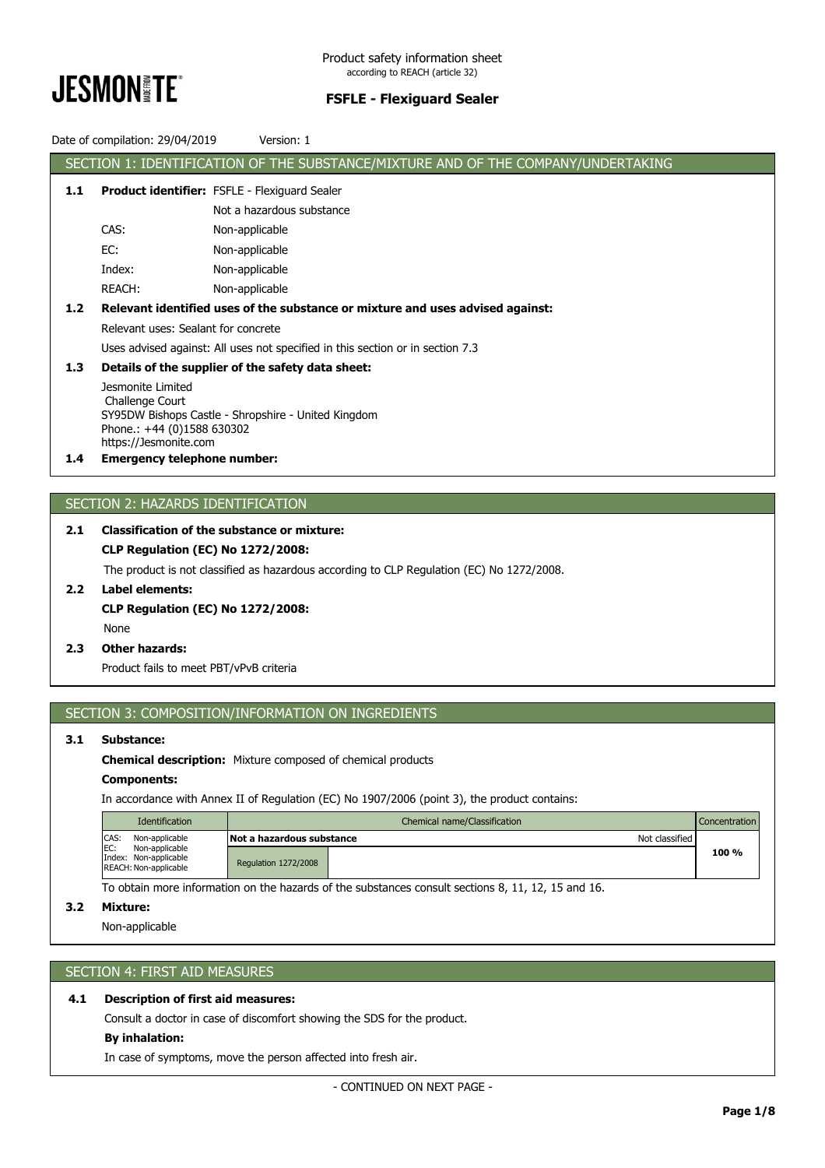

|     | Date of compilation: 29/04/2019                                                | Version: 1                                                                        |  |  |  |  |  |
|-----|--------------------------------------------------------------------------------|-----------------------------------------------------------------------------------|--|--|--|--|--|
|     |                                                                                | SECTION 1: IDENTIFICATION OF THE SUBSTANCE/MIXTURE AND OF THE COMPANY/UNDERTAKING |  |  |  |  |  |
| 1.1 | <b>Product identifier:</b> FSFLE - Flexiguard Sealer                           |                                                                                   |  |  |  |  |  |
|     |                                                                                | Not a hazardous substance                                                         |  |  |  |  |  |
|     | CAS:                                                                           | Non-applicable                                                                    |  |  |  |  |  |
|     | EC:                                                                            | Non-applicable                                                                    |  |  |  |  |  |
|     | Index:                                                                         | Non-applicable                                                                    |  |  |  |  |  |
|     | REACH:                                                                         | Non-applicable                                                                    |  |  |  |  |  |
| 1.2 |                                                                                | Relevant identified uses of the substance or mixture and uses advised against:    |  |  |  |  |  |
|     | Relevant uses: Sealant for concrete                                            |                                                                                   |  |  |  |  |  |
|     | Uses advised against: All uses not specified in this section or in section 7.3 |                                                                                   |  |  |  |  |  |
| 1.3 | Details of the supplier of the safety data sheet:                              |                                                                                   |  |  |  |  |  |
|     | Jesmonite Limited                                                              |                                                                                   |  |  |  |  |  |
|     | Challenge Court<br>SY95DW Bishops Castle - Shropshire - United Kingdom         |                                                                                   |  |  |  |  |  |
|     | Phone.: +44 (0)1588 630302                                                     |                                                                                   |  |  |  |  |  |
| 1.4 | https://Jesmonite.com<br><b>Emergency telephone number:</b>                    |                                                                                   |  |  |  |  |  |
|     |                                                                                |                                                                                   |  |  |  |  |  |
|     |                                                                                |                                                                                   |  |  |  |  |  |
|     |                                                                                | SECTION 2: HAZARDS IDENTIFICATION                                                 |  |  |  |  |  |
| 2.1 |                                                                                | <b>Classification of the substance or mixture:</b>                                |  |  |  |  |  |
|     |                                                                                | <b>CLP Regulation (EC) No 1272/2008:</b>                                          |  |  |  |  |  |

The product is not classified as hazardous according to CLP Regulation (EC) No 1272/2008.

- **2.2 Label elements: CLP Regulation (EC) No 1272/2008:** None
- **2.3 Other hazards:**

Product fails to meet PBT/vPvB criteria

# SECTION 3: COMPOSITION/INFORMATION ON INGREDIENTS

# **3.1 Substance:**

**Chemical description:** Mixture composed of chemical products

#### **Components:**

In accordance with Annex II of Regulation (EC) No 1907/2006 (point 3), the product contains:

| <b>Identification</b>                                                    | Chemical name/Classification |                  |       |
|--------------------------------------------------------------------------|------------------------------|------------------|-------|
| CAS:<br>Non-applicable                                                   | Not a hazardous substance    | Not classified I |       |
| IEC:<br>Non-applicable<br>Index: Non-applicable<br>REACH: Non-applicable | <b>Regulation 1272/2008</b>  |                  | 100 % |

To obtain more information on the hazards of the substances consult sections 8, 11, 12, 15 and 16.

## **3.2 Mixture:**

Non-applicable

# SECTION 4: FIRST AID MEASURES

# **4.1 Description of first aid measures:**

Consult a doctor in case of discomfort showing the SDS for the product.

# **By inhalation:**

In case of symptoms, move the person affected into fresh air.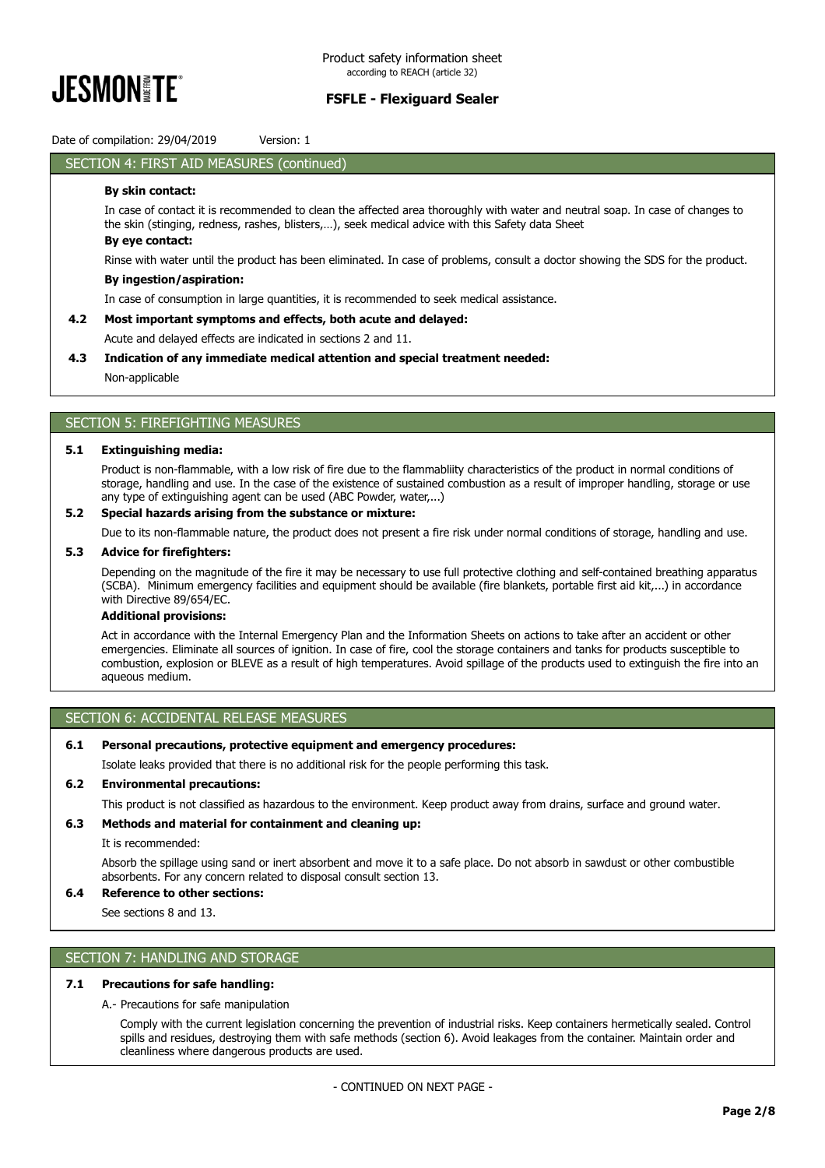

Date of compilation: 29/04/2019 Version: 1

## SECTION 4: FIRST AID MEASURES (continued)

## **By skin contact:**

In case of contact it is recommended to clean the affected area thoroughly with water and neutral soap. In case of changes to the skin (stinging, redness, rashes, blisters,…), seek medical advice with this Safety data Sheet **By eye contact:**

Rinse with water until the product has been eliminated. In case of problems, consult a doctor showing the SDS for the product.

#### **By ingestion/aspiration:**

In case of consumption in large quantities, it is recommended to seek medical assistance.

## **4.2 Most important symptoms and effects, both acute and delayed:**

Acute and delayed effects are indicated in sections 2 and 11.

### **4.3 Indication of any immediate medical attention and special treatment needed:**

Non-applicable

# SECTION 5: FIREFIGHTING MEASURES

#### **5.1 Extinguishing media:**

Product is non-flammable, with a low risk of fire due to the flammabliity characteristics of the product in normal conditions of storage, handling and use. In the case of the existence of sustained combustion as a result of improper handling, storage or use any type of extinguishing agent can be used (ABC Powder, water,...)

## **5.2 Special hazards arising from the substance or mixture:**

Due to its non-flammable nature, the product does not present a fire risk under normal conditions of storage, handling and use.

#### **5.3 Advice for firefighters:**

Depending on the magnitude of the fire it may be necessary to use full protective clothing and self-contained breathing apparatus (SCBA). Minimum emergency facilities and equipment should be available (fire blankets, portable first aid kit,...) in accordance with Directive 89/654/EC.

#### **Additional provisions:**

Act in accordance with the Internal Emergency Plan and the Information Sheets on actions to take after an accident or other emergencies. Eliminate all sources of ignition. In case of fire, cool the storage containers and tanks for products susceptible to combustion, explosion or BLEVE as a result of high temperatures. Avoid spillage of the products used to extinguish the fire into an aqueous medium.

## SECTION 6: ACCIDENTAL RELEASE MEASURES

#### **6.1 Personal precautions, protective equipment and emergency procedures:**

Isolate leaks provided that there is no additional risk for the people performing this task.

## **6.2 Environmental precautions:**

This product is not classified as hazardous to the environment. Keep product away from drains, surface and ground water.

#### **6.3 Methods and material for containment and cleaning up:**

It is recommended:

Absorb the spillage using sand or inert absorbent and move it to a safe place. Do not absorb in sawdust or other combustible absorbents. For any concern related to disposal consult section 13.

# **6.4 Reference to other sections:**

See sections 8 and 13.

## SECTION 7: HANDLING AND STORAGE

#### **7.1 Precautions for safe handling:**

A.- Precautions for safe manipulation

Comply with the current legislation concerning the prevention of industrial risks. Keep containers hermetically sealed. Control spills and residues, destroying them with safe methods (section 6). Avoid leakages from the container. Maintain order and cleanliness where dangerous products are used.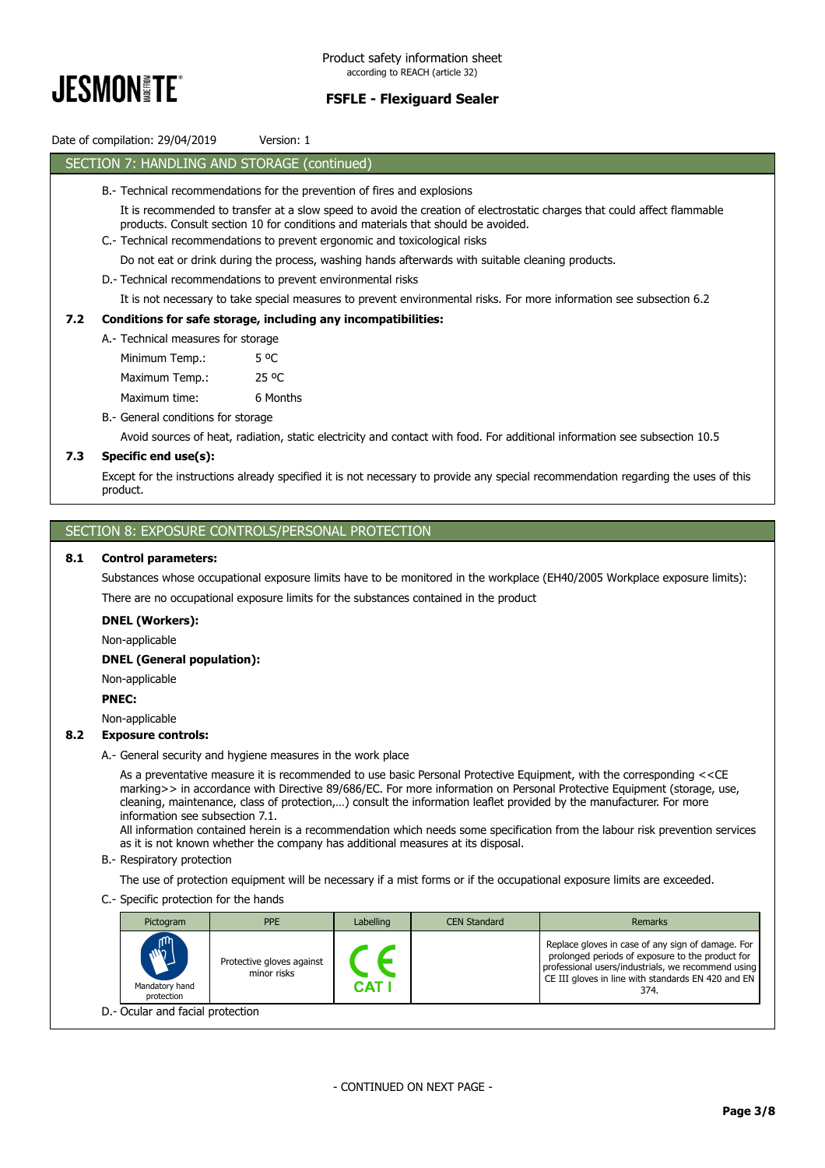

# Date of compilation: 29/04/2019 Version: 1 SECTION 7: HANDLING AND STORAGE (continued) B.- Technical recommendations for the prevention of fires and explosions It is recommended to transfer at a slow speed to avoid the creation of electrostatic charges that could affect flammable products. Consult section 10 for conditions and materials that should be avoided. C.- Technical recommendations to prevent ergonomic and toxicological risks Do not eat or drink during the process, washing hands afterwards with suitable cleaning products. D.- Technical recommendations to prevent environmental risks It is not necessary to take special measures to prevent environmental risks. For more information see subsection 6.2 **7.2 Conditions for safe storage, including any incompatibilities:** A.- Technical measures for storage B.- General conditions for storage Avoid sources of heat, radiation, static electricity and contact with food. For additional information see subsection 10.5 **7.3 Specific end use(s):** Except for the instructions already specified it is not necessary to provide any special recommendation regarding the uses of this product. Minimum Temp.: 5 °C Maximum Temp.: 25 °C Maximum time: 6 Months

# SECTION 8: EXPOSURE CONTROLS/PERSONAL PROTECTION

## **8.1 Control parameters:**

Substances whose occupational exposure limits have to be monitored in the workplace (EH40/2005 Workplace exposure limits): There are no occupational exposure limits for the substances contained in the product

#### **DNEL (Workers):**

Non-applicable

## **DNEL (General population):**

Non-applicable

# **PNEC:**

Non-applicable

#### **8.2 Exposure controls:**

A.- General security and hygiene measures in the work place

As a preventative measure it is recommended to use basic Personal Protective Equipment, with the corresponding <<CE marking>> in accordance with Directive 89/686/EC. For more information on Personal Protective Equipment (storage, use, cleaning, maintenance, class of protection,…) consult the information leaflet provided by the manufacturer. For more information see subsection 7.1.

All information contained herein is a recommendation which needs some specification from the labour risk prevention services as it is not known whether the company has additional measures at its disposal.

B.- Respiratory protection

The use of protection equipment will be necessary if a mist forms or if the occupational exposure limits are exceeded.

C.- Specific protection for the hands

| Pictogram                                  | PPE                                      | <b>Labelling</b> | <b>CEN Standard</b> | Remarks                                                                                                                                                                                                                   |  |  |
|--------------------------------------------|------------------------------------------|------------------|---------------------|---------------------------------------------------------------------------------------------------------------------------------------------------------------------------------------------------------------------------|--|--|
| <b>ANT</b><br>Mandatory hand<br>protection | Protective gloves against<br>minor risks | CAT              |                     | Replace gloves in case of any sign of damage. For<br>prolonged periods of exposure to the product for<br>professional users/industrials, we recommend using<br>CE III gloves in line with standards EN 420 and EN<br>374. |  |  |
| D.- Ocular and facial protection           |                                          |                  |                     |                                                                                                                                                                                                                           |  |  |

- CONTINUED ON NEXT PAGE -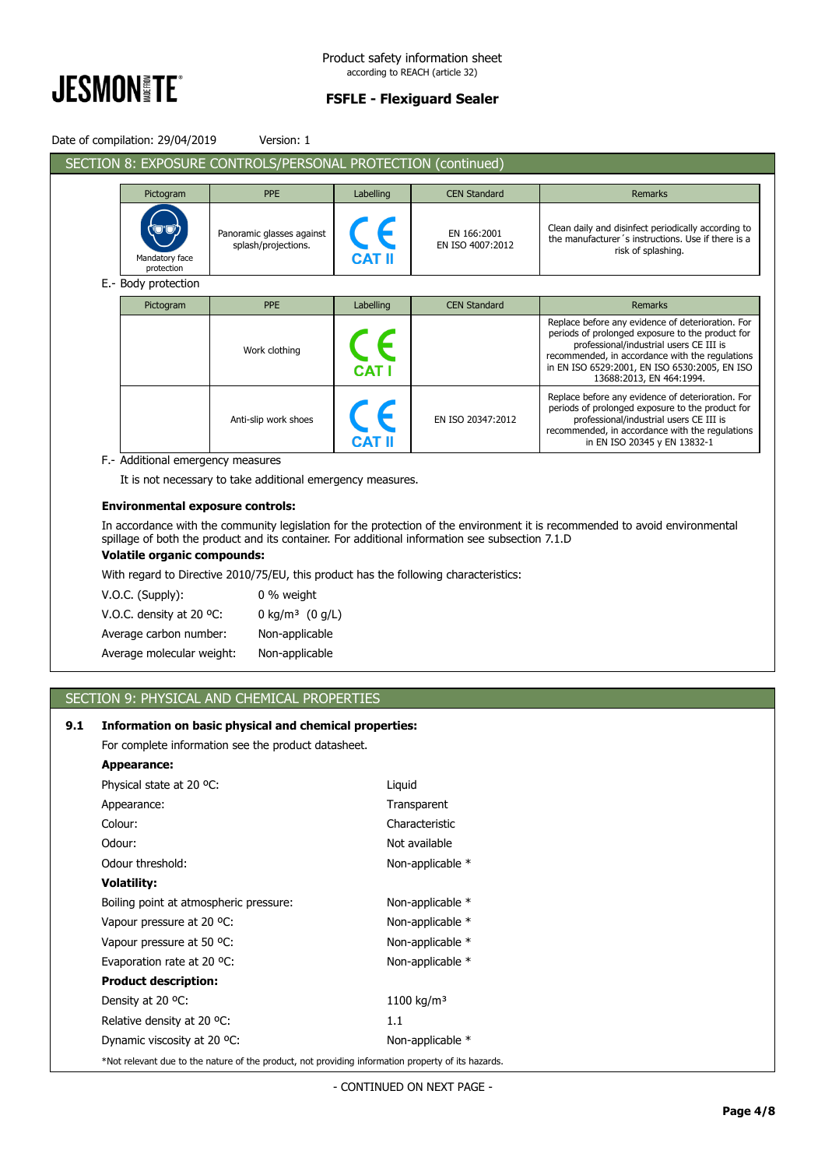

|                         | Date of compilation: 29/04/2019   | Version: 1                                                   |               |                                 |                                                                                                                                                                                                                                                                                  |
|-------------------------|-----------------------------------|--------------------------------------------------------------|---------------|---------------------------------|----------------------------------------------------------------------------------------------------------------------------------------------------------------------------------------------------------------------------------------------------------------------------------|
|                         |                                   | SECTION 8: EXPOSURE CONTROLS/PERSONAL PROTECTION (continued) |               |                                 |                                                                                                                                                                                                                                                                                  |
| Pictogram<br><b>PPE</b> |                                   |                                                              | Labelling     | <b>CEN Standard</b>             | <b>Remarks</b>                                                                                                                                                                                                                                                                   |
|                         | Mandatory face<br>protection      | Panoramic glasses against<br>splash/projections.             | <b>CAT II</b> | EN 166:2001<br>EN ISO 4007:2012 | Clean daily and disinfect periodically according to<br>the manufacturer's instructions. Use if there is a<br>risk of splashing.                                                                                                                                                  |
|                         | E.- Body protection               |                                                              |               |                                 |                                                                                                                                                                                                                                                                                  |
|                         | Pictogram                         | <b>PPE</b>                                                   | Labelling     | <b>CEN Standard</b>             | Remarks                                                                                                                                                                                                                                                                          |
|                         |                                   | Work clothing                                                | <b>CAT I</b>  |                                 | Replace before any evidence of deterioration. For<br>periods of prolonged exposure to the product for<br>professional/industrial users CE III is<br>recommended, in accordance with the regulations<br>in EN ISO 6529:2001, EN ISO 6530:2005, EN ISO<br>13688:2013, EN 464:1994. |
|                         |                                   | Anti-slip work shoes                                         | <b>CAT II</b> | EN ISO 20347:2012               | Replace before any evidence of deterioration. For<br>periods of prolonged exposure to the product for<br>professional/industrial users CE III is<br>recommended, in accordance with the regulations<br>in EN ISO 20345 y EN 13832-1                                              |
|                         | F.- Additional emergency measures | It is not necessary to take additional emergency measures.   |               |                                 |                                                                                                                                                                                                                                                                                  |

#### **Environmental exposure controls:**

In accordance with the community legislation for the protection of the environment it is recommended to avoid environmental spillage of both the product and its container. For additional information see subsection 7.1.D

## **Volatile organic compounds:**

With regard to Directive 2010/75/EU, this product has the following characteristics:

| V.O.C. (Supply):          | 0 % weight                    |
|---------------------------|-------------------------------|
| V.O.C. density at 20 °C:  | 0 kg/m <sup>3</sup> $(0 g/L)$ |
| Average carbon number:    | Non-applicable                |
| Average molecular weight: | Non-applicable                |

# SECTION 9: PHYSICAL AND CHEMICAL PROPERTIES

# **9.1 Information on basic physical and chemical properties:**

For complete information see the product datasheet.

| Appearance:                                                                                        |                        |
|----------------------------------------------------------------------------------------------------|------------------------|
| Physical state at 20 °C:                                                                           | Liguid                 |
| Appearance:                                                                                        | Transparent            |
| Colour:                                                                                            | Characteristic         |
| Odour:                                                                                             | Not available          |
| Odour threshold:                                                                                   | Non-applicable *       |
| <b>Volatility:</b>                                                                                 |                        |
| Boiling point at atmospheric pressure:                                                             | Non-applicable *       |
| Vapour pressure at 20 °C:                                                                          | Non-applicable *       |
| Vapour pressure at 50 °C:                                                                          | Non-applicable *       |
| Evaporation rate at 20 °C:                                                                         | Non-applicable *       |
| <b>Product description:</b>                                                                        |                        |
| Density at 20 °C:                                                                                  | 1100 kg/m <sup>3</sup> |
| Relative density at 20 °C.                                                                         | 1.1                    |
| Dynamic viscosity at 20 °C:                                                                        | Non-applicable *       |
| *Not relevant due to the nature of the product, not providing information property of its hazards. |                        |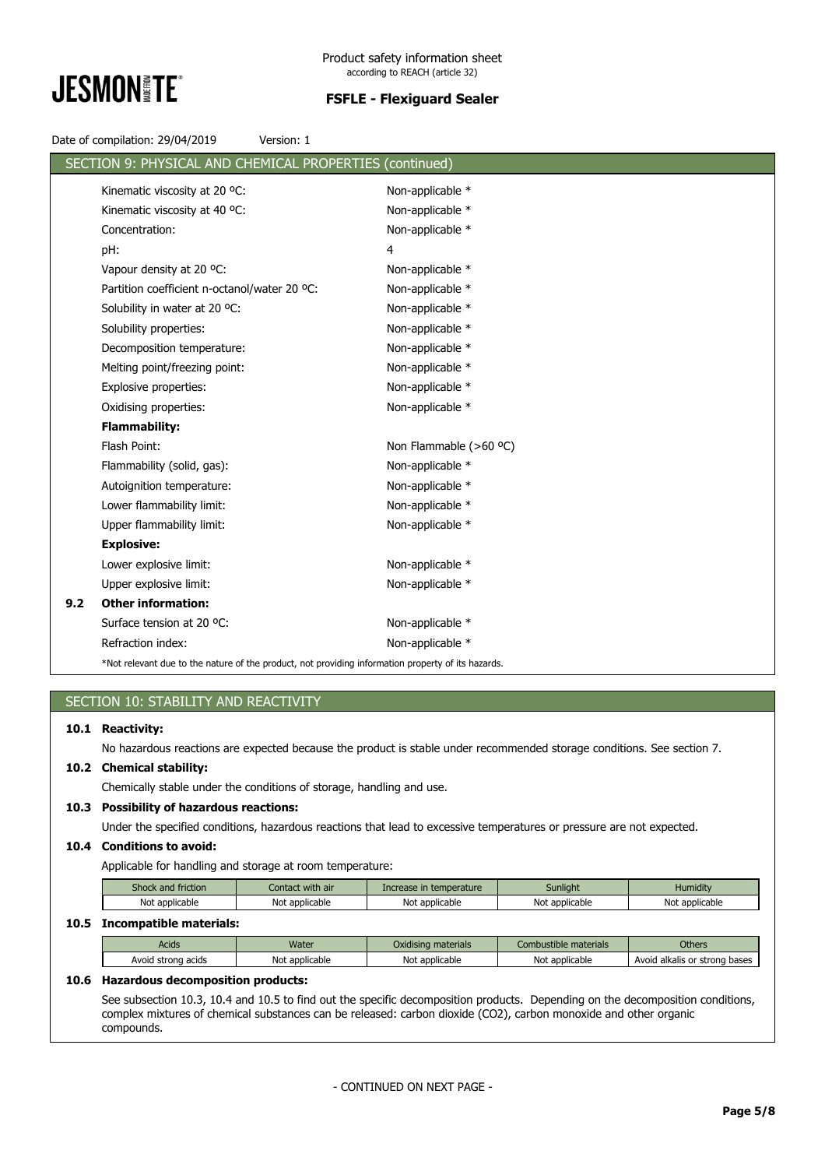

Date of compilation: 29/04/2019 Version: 1

|     | SECTION 9: PHYSICAL AND CHEMICAL PROPERTIES (continued)                                            |                        |
|-----|----------------------------------------------------------------------------------------------------|------------------------|
|     | Kinematic viscosity at 20 °C:                                                                      | Non-applicable *       |
|     | Kinematic viscosity at 40 °C:                                                                      | Non-applicable *       |
|     | Concentration:                                                                                     | Non-applicable *       |
|     | pH:                                                                                                | 4                      |
|     | Vapour density at 20 °C:                                                                           | Non-applicable *       |
|     | Partition coefficient n-octanol/water 20 °C:                                                       | Non-applicable *       |
|     | Solubility in water at 20 °C:                                                                      | Non-applicable *       |
|     | Solubility properties:                                                                             | Non-applicable *       |
|     | Decomposition temperature:                                                                         | Non-applicable *       |
|     | Melting point/freezing point:                                                                      | Non-applicable *       |
|     | Explosive properties:                                                                              | Non-applicable *       |
|     | Oxidising properties:                                                                              | Non-applicable *       |
|     | <b>Flammability:</b>                                                                               |                        |
|     | Flash Point:                                                                                       | Non Flammable (>60 °C) |
|     | Flammability (solid, gas):                                                                         | Non-applicable *       |
|     | Autoignition temperature:                                                                          | Non-applicable *       |
|     | Lower flammability limit:                                                                          | Non-applicable *       |
|     | Upper flammability limit:                                                                          | Non-applicable *       |
|     | <b>Explosive:</b>                                                                                  |                        |
|     | Lower explosive limit:                                                                             | Non-applicable *       |
|     | Upper explosive limit:                                                                             | Non-applicable *       |
| 9.2 | <b>Other information:</b>                                                                          |                        |
|     | Surface tension at 20 °C:                                                                          | Non-applicable *       |
|     | Refraction index:                                                                                  | Non-applicable *       |
|     | *Not relevant due to the nature of the product, not providing information property of its hazards. |                        |

# SECTION 10: STABILITY AND REACTIVITY

## **10.1 Reactivity:**

No hazardous reactions are expected because the product is stable under recommended storage conditions. See section 7.

# **10.2 Chemical stability:**

Chemically stable under the conditions of storage, handling and use.

## **10.3 Possibility of hazardous reactions:**

Under the specified conditions, hazardous reactions that lead to excessive temperatures or pressure are not expected.

## **10.4 Conditions to avoid:**

Applicable for handling and storage at room temperature:

| Shock and friction | Contact with air    | Increase in temperature | Sunliaht       | Humidity       |
|--------------------|---------------------|-------------------------|----------------|----------------|
| Not applicable     | ∴ Not<br>applicable | Not applicable          | Not applicable | Not applicable |

# **10.5 Incompatible materials:**

| <b>Acids</b>          | Water          | $\mathbf{r}$<br>Oxidising materials | Combustible materials | <b>Others</b>                    |
|-----------------------|----------------|-------------------------------------|-----------------------|----------------------------------|
| Avoid strong<br>acids | Not applicable | Not applicable                      | Not<br>: applicable   | alkalis or strong bases<br>Avoic |

## **10.6 Hazardous decomposition products:**

See subsection 10.3, 10.4 and 10.5 to find out the specific decomposition products. Depending on the decomposition conditions, complex mixtures of chemical substances can be released: carbon dioxide (CO2), carbon monoxide and other organic compounds.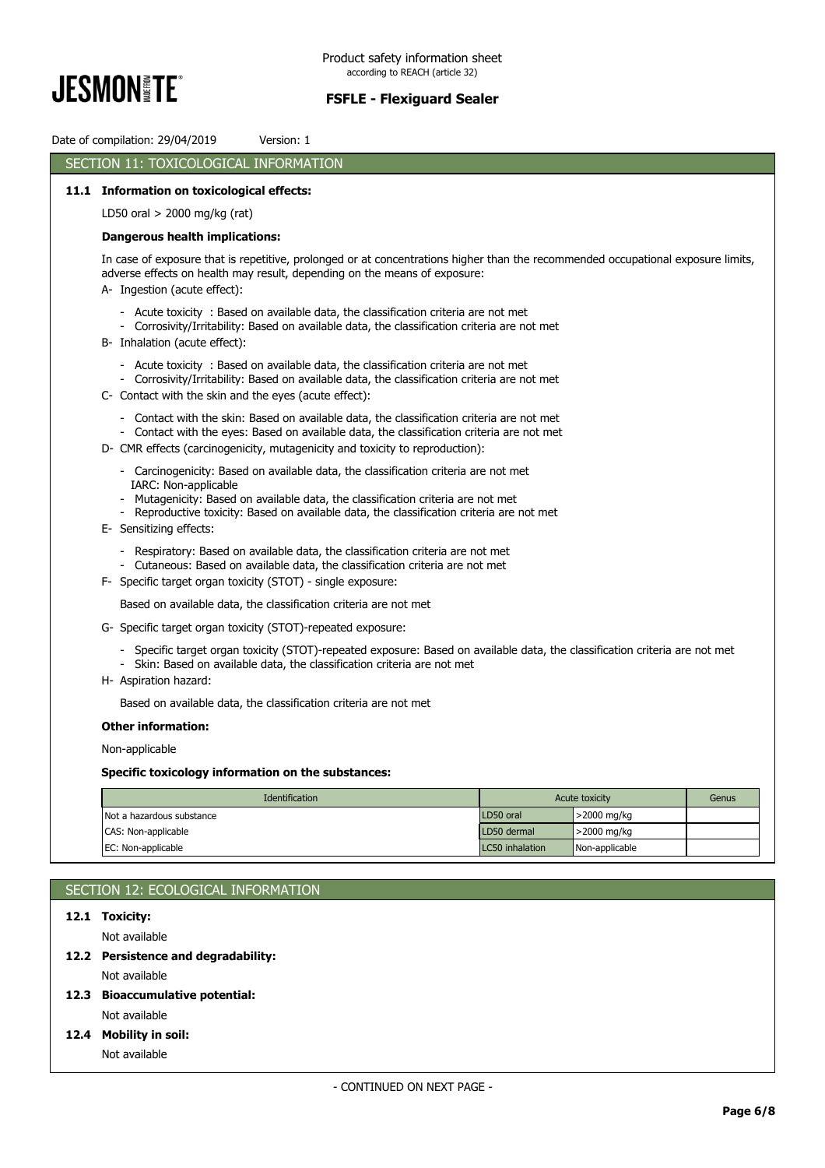

Date of compilation: 29/04/2019 Version: 1 SECTION 11: TOXICOLOGICAL INFORMATION **11.1 Information on toxicological effects:** LD50 oral > 2000 mg/kg (rat) **Dangerous health implications:** In case of exposure that is repetitive, prolonged or at concentrations higher than the recommended occupational exposure limits, adverse effects on health may result, depending on the means of exposure: A- Ingestion (acute effect): - Acute toxicity : Based on available data, the classification criteria are not met - Corrosivity/Irritability: Based on available data, the classification criteria are not met B- Inhalation (acute effect): - Acute toxicity : Based on available data, the classification criteria are not met - Corrosivity/Irritability: Based on available data, the classification criteria are not met C- Contact with the skin and the eyes (acute effect): - Contact with the skin: Based on available data, the classification criteria are not met - Contact with the eyes: Based on available data, the classification criteria are not met D- CMR effects (carcinogenicity, mutagenicity and toxicity to reproduction): - Carcinogenicity: Based on available data, the classification criteria are not met IARC: Non-applicable - Mutagenicity: Based on available data, the classification criteria are not met Reproductive toxicity: Based on available data, the classification criteria are not met E- Sensitizing effects: - Respiratory: Based on available data, the classification criteria are not met - Cutaneous: Based on available data, the classification criteria are not met F- Specific target organ toxicity (STOT) - single exposure: Based on available data, the classification criteria are not met G- Specific target organ toxicity (STOT)-repeated exposure: - Specific target organ toxicity (STOT)-repeated exposure: Based on available data, the classification criteria are not met - Skin: Based on available data, the classification criteria are not met H- Aspiration hazard: Based on available data, the classification criteria are not met **Other information:**

Non-applicable

#### **Specific toxicology information on the substances:**

| <b>Identification</b>     |                 | Acute toxicity | Genus |
|---------------------------|-----------------|----------------|-------|
| Not a hazardous substance | LD50 oral       | ,>2000 mg/kg   |       |
| CAS: Non-applicable       | LD50 dermal     | >2000 mg/kg    |       |
| EC: Non-applicable        | LC50 inhalation | Non-applicable |       |

# SECTION 12: ECOLOGICAL INFORMATION

# **12.1 Toxicity:**

Not available

#### **12.2 Persistence and degradability:**

Not available

#### **12.3 Bioaccumulative potential:**

Not available

#### **12.4 Mobility in soil:**

Not available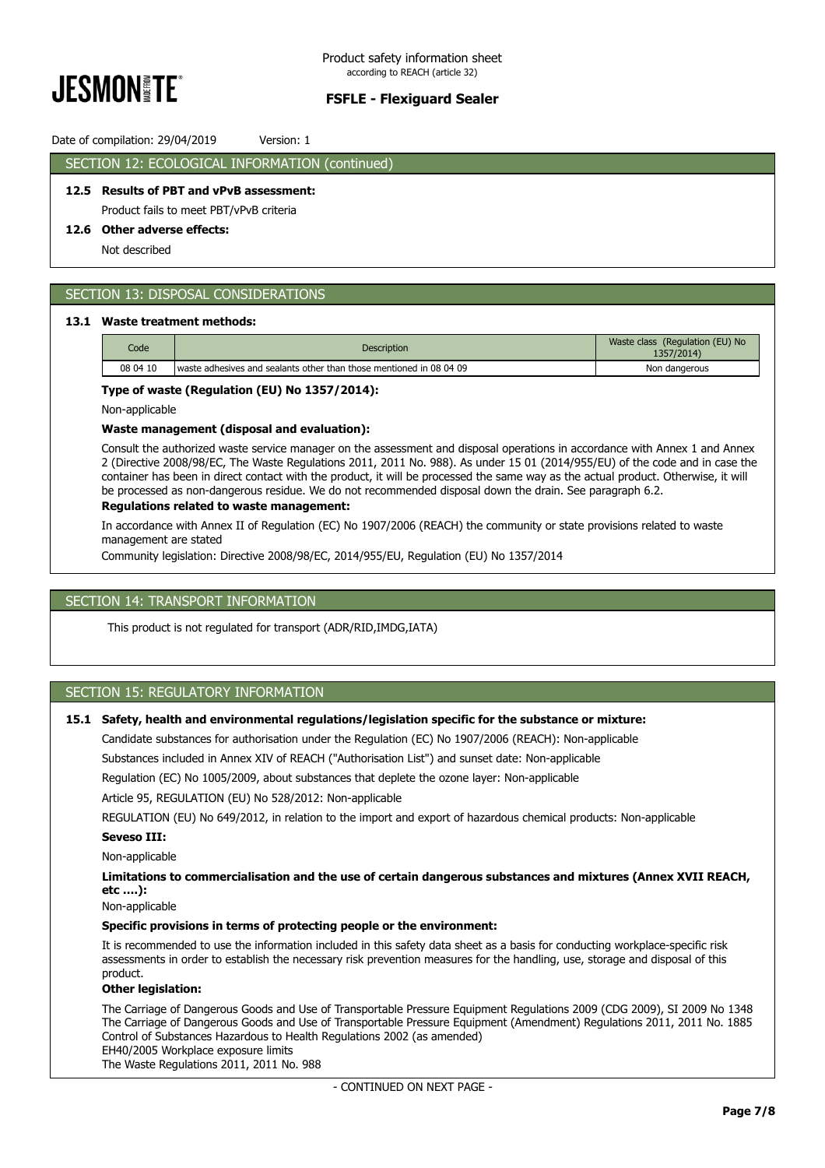

## Date of compilation: 29/04/2019 Version: 1

## SECTION 12: ECOLOGICAL INFORMATION (continued)

# **12.5 Results of PBT and vPvB assessment:**

Product fails to meet PBT/vPvB criteria

#### **12.6 Other adverse effects:**

Not described

# SECTION 13: DISPOSAL CONSIDERATIONS

#### **13.1 Waste treatment methods:**

| Code     | Description                                                         | Waste class (Regulation (EU) No<br>1357/2014) |
|----------|---------------------------------------------------------------------|-----------------------------------------------|
| 08 04 10 | waste adhesives and sealants other than those mentioned in 08 04 09 | Non dangerous                                 |

#### **Type of waste (Regulation (EU) No 1357/2014):**

Non-applicable

#### **Waste management (disposal and evaluation):**

Consult the authorized waste service manager on the assessment and disposal operations in accordance with Annex 1 and Annex 2 (Directive 2008/98/EC, The Waste Regulations 2011, 2011 No. 988). As under 15 01 (2014/955/EU) of the code and in case the container has been in direct contact with the product, it will be processed the same way as the actual product. Otherwise, it will be processed as non-dangerous residue. We do not recommended disposal down the drain. See paragraph 6.2.

## **Regulations related to waste management:**

In accordance with Annex II of Regulation (EC) No 1907/2006 (REACH) the community or state provisions related to waste management are stated

Community legislation: Directive 2008/98/EC, 2014/955/EU, Regulation (EU) No 1357/2014

## SECTION 14: TRANSPORT INFORMATION

This product is not regulated for transport (ADR/RID,IMDG,IATA)

# SECTION 15: REGULATORY INFORMATION

#### **15.1 Safety, health and environmental regulations/legislation specific for the substance or mixture:**

Candidate substances for authorisation under the Regulation (EC) No 1907/2006 (REACH): Non-applicable

Substances included in Annex XIV of REACH ("Authorisation List") and sunset date: Non-applicable

Regulation (EC) No 1005/2009, about substances that deplete the ozone layer: Non-applicable

Article 95, REGULATION (EU) No 528/2012: Non-applicable

REGULATION (EU) No 649/2012, in relation to the import and export of hazardous chemical products: Non-applicable

#### **Seveso III:**

Non-applicable

**Limitations to commercialisation and the use of certain dangerous substances and mixtures (Annex XVII REACH, etc ….):**

Non-applicable

#### **Specific provisions in terms of protecting people or the environment:**

It is recommended to use the information included in this safety data sheet as a basis for conducting workplace-specific risk assessments in order to establish the necessary risk prevention measures for the handling, use, storage and disposal of this product.

#### **Other legislation:**

The Carriage of Dangerous Goods and Use of Transportable Pressure Equipment Regulations 2009 (CDG 2009), SI 2009 No 1348 The Carriage of Dangerous Goods and Use of Transportable Pressure Equipment (Amendment) Regulations 2011, 2011 No. 1885 Control of Substances Hazardous to Health Regulations 2002 (as amended)

EH40/2005 Workplace exposure limits

The Waste Regulations 2011, 2011 No. 988